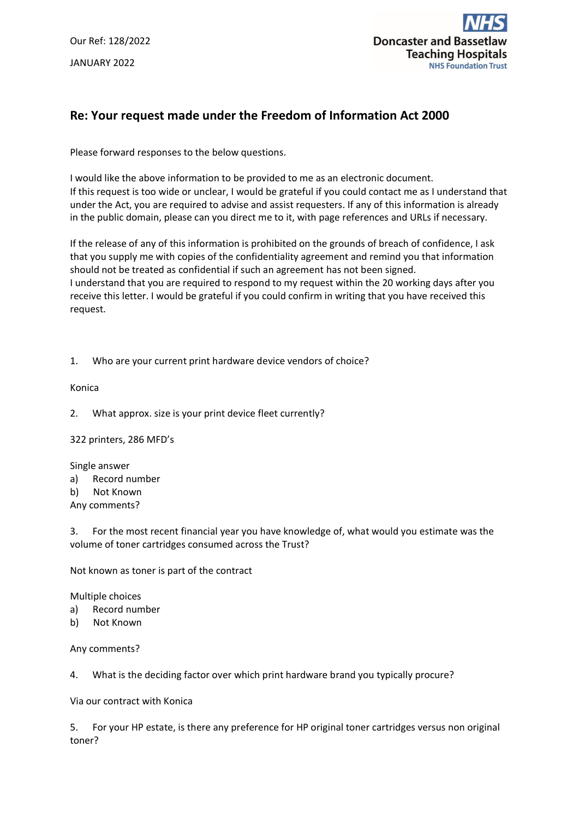Our Ref: 128/2022 JANUARY 2022



## **Re: Your request made under the Freedom of Information Act 2000**

Please forward responses to the below questions.

I would like the above information to be provided to me as an electronic document. If this request is too wide or unclear, I would be grateful if you could contact me as I understand that under the Act, you are required to advise and assist requesters. If any of this information is already in the public domain, please can you direct me to it, with page references and URLs if necessary.

If the release of any of this information is prohibited on the grounds of breach of confidence, I ask that you supply me with copies of the confidentiality agreement and remind you that information should not be treated as confidential if such an agreement has not been signed. I understand that you are required to respond to my request within the 20 working days after you receive this letter. I would be grateful if you could confirm in writing that you have received this request.

1. Who are your current print hardware device vendors of choice?

Konica

2. What approx. size is your print device fleet currently?

322 printers, 286 MFD's

Single answer

- a) Record number
- b) Not Known
- Any comments?

3. For the most recent financial year you have knowledge of, what would you estimate was the volume of toner cartridges consumed across the Trust?

Not known as toner is part of the contract

Multiple choices

- a) Record number
- b) Not Known

Any comments?

4. What is the deciding factor over which print hardware brand you typically procure?

Via our contract with Konica

5. For your HP estate, is there any preference for HP original toner cartridges versus non original toner?